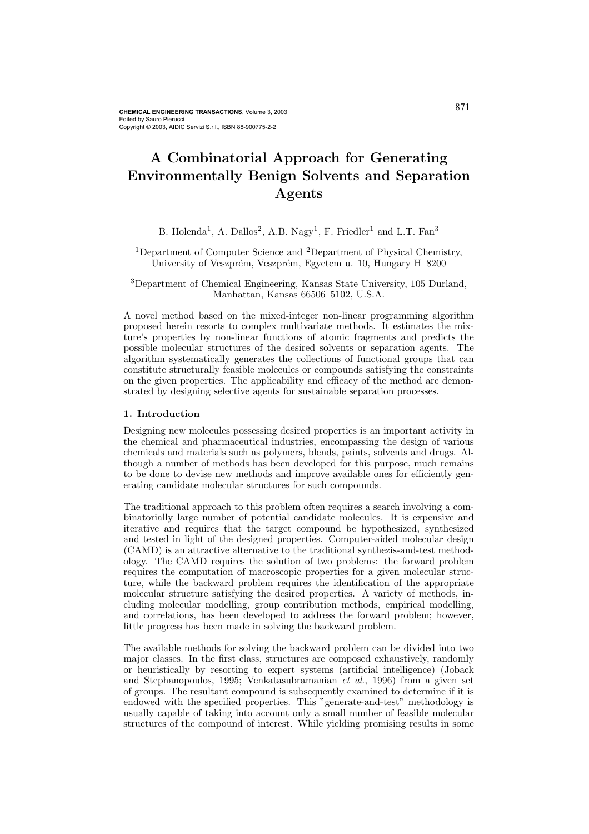# A Combinatorial Approach for Generating Environmentally Benign Solvents and Separation Agents

B. Holenda<sup>1</sup>, A. Dallos<sup>2</sup>, A.B. Nagy<sup>1</sup>, F. Friedler<sup>1</sup> and L.T. Fan<sup>3</sup>

<sup>1</sup>Department of Computer Science and <sup>2</sup>Department of Physical Chemistry, University of Veszprém, Veszprém, Egyetem u. 10, Hungary H–8200

<sup>3</sup>Department of Chemical Engineering, Kansas State University, 105 Durland, Manhattan, Kansas 66506–5102, U.S.A.

A novel method based on the mixed-integer non-linear programming algorithm proposed herein resorts to complex multivariate methods. It estimates the mixture's properties by non-linear functions of atomic fragments and predicts the possible molecular structures of the desired solvents or separation agents. The algorithm systematically generates the collections of functional groups that can constitute structurally feasible molecules or compounds satisfying the constraints on the given properties. The applicability and efficacy of the method are demonstrated by designing selective agents for sustainable separation processes.

#### 1. Introduction

Designing new molecules possessing desired properties is an important activity in the chemical and pharmaceutical industries, encompassing the design of various chemicals and materials such as polymers, blends, paints, solvents and drugs. Although a number of methods has been developed for this purpose, much remains to be done to devise new methods and improve available ones for efficiently generating candidate molecular structures for such compounds.

The traditional approach to this problem often requires a search involving a combinatorially large number of potential candidate molecules. It is expensive and iterative and requires that the target compound be hypothesized, synthesized and tested in light of the designed properties. Computer-aided molecular design (CAMD) is an attractive alternative to the traditional synthezis-and-test methodology. The CAMD requires the solution of two problems: the forward problem requires the computation of macroscopic properties for a given molecular structure, while the backward problem requires the identification of the appropriate molecular structure satisfying the desired properties. A variety of methods, including molecular modelling, group contribution methods, empirical modelling, and correlations, has been developed to address the forward problem; however, little progress has been made in solving the backward problem.

The available methods for solving the backward problem can be divided into two major classes. In the first class, structures are composed exhaustively, randomly or heuristically by resorting to expert systems (artificial intelligence) (Joback and Stephanopoulos, 1995; Venkatasubramanian et al., 1996) from a given set of groups. The resultant compound is subsequently examined to determine if it is endowed with the specified properties. This "generate-and-test" methodology is usually capable of taking into account only a small number of feasible molecular structures of the compound of interest. While yielding promising results in some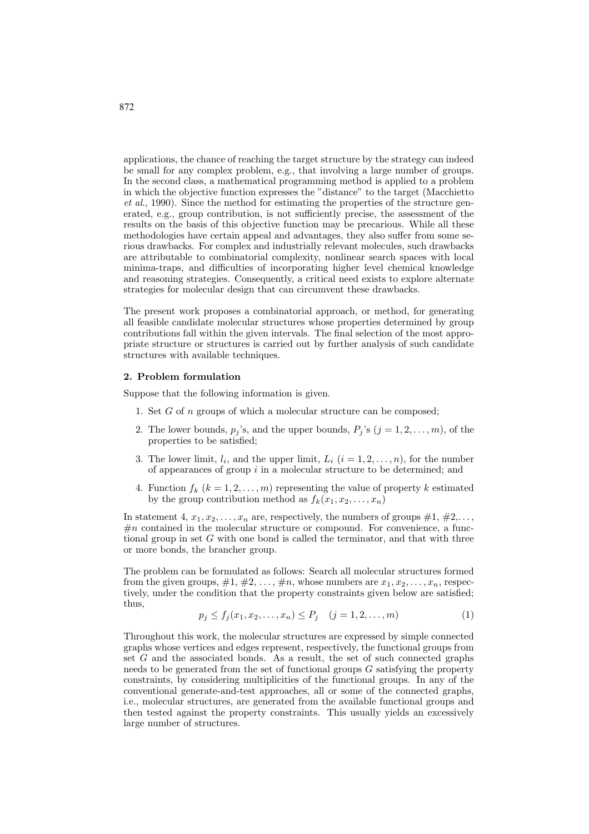applications, the chance of reaching the target structure by the strategy can indeed be small for any complex problem, e.g., that involving a large number of groups. In the second class, a mathematical programming method is applied to a problem in which the objective function expresses the "distance" to the target (Macchietto et al., 1990). Since the method for estimating the properties of the structure generated, e.g., group contribution, is not sufficiently precise, the assessment of the results on the basis of this objective function may be precarious. While all these methodologies have certain appeal and advantages, they also suffer from some serious drawbacks. For complex and industrially relevant molecules, such drawbacks are attributable to combinatorial complexity, nonlinear search spaces with local minima-traps, and difficulties of incorporating higher level chemical knowledge and reasoning strategies. Consequently, a critical need exists to explore alternate strategies for molecular design that can circumvent these drawbacks.

The present work proposes a combinatorial approach, or method, for generating all feasible candidate molecular structures whose properties determined by group contributions fall within the given intervals. The final selection of the most appropriate structure or structures is carried out by further analysis of such candidate structures with available techniques.

#### 2. Problem formulation

Suppose that the following information is given.

- 1. Set G of n groups of which a molecular structure can be composed;
- 2. The lower bounds,  $p_j$ 's, and the upper bounds,  $P_j$ 's  $(j = 1, 2, \ldots, m)$ , of the properties to be satisfied;
- 3. The lower limit,  $l_i$ , and the upper limit,  $L_i$   $(i = 1, 2, \ldots, n)$ , for the number of appearances of group  $i$  in a molecular structure to be determined; and
- 4. Function  $f_k$   $(k = 1, 2, \ldots, m)$  representing the value of property k estimated by the group contribution method as  $f_k(x_1, x_2, \ldots, x_n)$

In statement 4,  $x_1, x_2, \ldots, x_n$  are, respectively, the numbers of groups  $\#1, \#2, \ldots$ ,  $\#n$  contained in the molecular structure or compound. For convenience, a functional group in set  $G$  with one bond is called the terminator, and that with three or more bonds, the brancher group.

The problem can be formulated as follows: Search all molecular structures formed from the given groups,  $\#1, \#2, \ldots, \#n$ , whose numbers are  $x_1, x_2, \ldots, x_n$ , respectively, under the condition that the property constraints given below are satisfied; thus,

$$
p_j \le f_j(x_1, x_2, \dots, x_n) \le P_j \quad (j = 1, 2, \dots, m)
$$
 (1)

Throughout this work, the molecular structures are expressed by simple connected graphs whose vertices and edges represent, respectively, the functional groups from set G and the associated bonds. As a result, the set of such connected graphs needs to be generated from the set of functional groups G satisfying the property constraints, by considering multiplicities of the functional groups. In any of the conventional generate-and-test approaches, all or some of the connected graphs, i.e., molecular structures, are generated from the available functional groups and then tested against the property constraints. This usually yields an excessively large number of structures.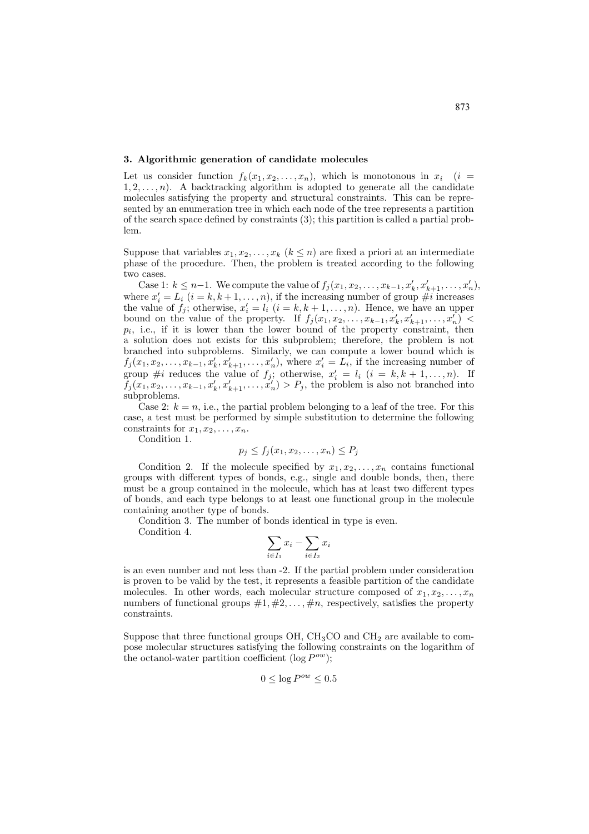### 3. Algorithmic generation of candidate molecules

Let us consider function  $f_k(x_1, x_2, \ldots, x_n)$ , which is monotonous in  $x_i$  (i =  $1, 2, \ldots, n$ ). A backtracking algorithm is adopted to generate all the candidate molecules satisfying the property and structural constraints. This can be represented by an enumeration tree in which each node of the tree represents a partition of the search space defined by constraints (3); this partition is called a partial problem.

Suppose that variables  $x_1, x_2, \ldots, x_k$   $(k \leq n)$  are fixed a priori at an intermediate phase of the procedure. Then, the problem is treated according to the following two cases.

Case 1:  $k \leq n-1$ . We compute the value of  $f_j(x_1, x_2, \ldots, x_{k-1}, x'_k, x'_{k+1}, \ldots, x'_n)$ , where  $x'_i = L_i$   $(i = k, k + 1, ..., n)$ , if the increasing number of group  $\#i$  increases the value of  $f_j$ ; otherwise,  $x'_i = l_i$   $(i = k, k + 1, \ldots, n)$ . Hence, we have an upper bound on the value of the property. If  $f_j(x_1, x_2, \ldots, x_{k-1}, x'_k, x'_{k+1}, \ldots, x'_n)$  $p_i$ , i.e., if it is lower than the lower bound of the property constraint, then a solution does not exists for this subproblem; therefore, the problem is not branched into subproblems. Similarly, we can compute a lower bound which is  $f_j(x_1, x_2, \ldots, x_{k-1}, x'_k, x'_{k+1}, \ldots, x'_n)$ , where  $x'_i = L_i$ , if the increasing number of group #*i* reduces the value of  $f_j$ ; otherwise,  $x'_i = l_i$   $(i = k, k + 1, ..., n)$ . If  $f_j(x_1, x_2, \ldots, x_{k-1}, x'_k, x'_{k+1}, \ldots, x'_n) > P_j$ , the problem is also not branched into subproblems.

Case 2:  $k = n$ , i.e., the partial problem belonging to a leaf of the tree. For this case, a test must be performed by simple substitution to determine the following constraints for  $x_1, x_2, \ldots, x_n$ .

Condition 1.

$$
p_j \le f_j(x_1, x_2, \dots, x_n) \le P_j
$$

Condition 2. If the molecule specified by  $x_1, x_2, \ldots, x_n$  contains functional groups with different types of bonds, e.g., single and double bonds, then, there must be a group contained in the molecule, which has at least two different types of bonds, and each type belongs to at least one functional group in the molecule containing another type of bonds.

Condition 3. The number of bonds identical in type is even.

Condition 4.

$$
\sum_{i \in I_1} x_i - \sum_{i \in I_2} x_i
$$

is an even number and not less than -2. If the partial problem under consideration is proven to be valid by the test, it represents a feasible partition of the candidate molecules. In other words, each molecular structure composed of  $x_1, x_2, \ldots, x_n$ numbers of functional groups  $\#1, \#2, \ldots, \#n$ , respectively, satisfies the property constraints.

Suppose that three functional groups  $OH$ ,  $CH<sub>3</sub>CO$  and  $CH<sub>2</sub>$  are available to compose molecular structures satisfying the following constraints on the logarithm of the octanol-water partition coefficient ( $log P^{ow}$ );

$$
0 \leq \log P^{ow} \leq 0.5
$$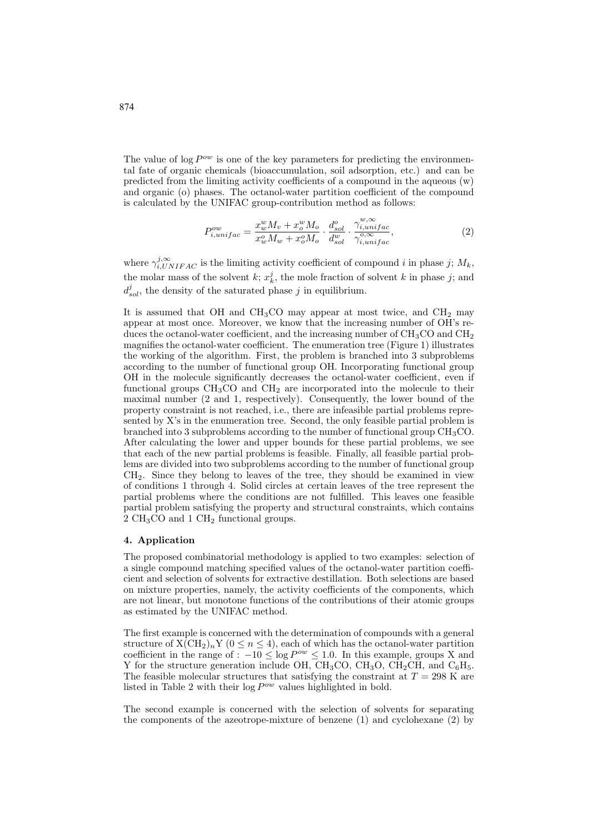The value of log  $P^{ow}$  is one of the key parameters for predicting the environmental fate of organic chemicals (bioaccumulation, soil adsorption, etc.) and can be predicted from the limiting activity coefficients of a compound in the aqueous  $(w)$ and organic (o) phases. The octanol-water partition coefficient of the compound is calculated by the UNIFAC group-contribution method as follows:

$$
P_{i,unifac}^{ow} = \frac{x_w^w M_v + x_o^w M_o}{x_w^o M_w + x_o^o M_o} \cdot \frac{d_{sol}^o}{d_{sol}^w} \cdot \frac{\gamma_{i,unifac}^{w,\infty}}{\gamma_{i,unifac}^o},\tag{2}
$$

where  $\gamma_{i,UNIFAC}^{j,\infty}$  is the limiting activity coefficient of compound i in phase j;  $M_k$ , the molar mass of the solvent  $k$ ;  $x_k^j$ , the mole fraction of solvent k in phase j; and  $d_{sol}^j$ , the density of the saturated phase j in equilibrium.

It is assumed that OH and  $CH<sub>3</sub>CO$  may appear at most twice, and  $CH<sub>2</sub>$  may appear at most once. Moreover, we know that the increasing number of OH's reduces the octanol-water coefficient, and the increasing number of  $CH<sub>3</sub>CO$  and  $CH<sub>2</sub>$ magnifies the octanol-water coefficient. The enumeration tree (Figure 1) illustrates the working of the algorithm. First, the problem is branched into 3 subproblems according to the number of functional group OH. Incorporating functional group OH in the molecule significantly decreases the octanol-water coefficient, even if functional groups  $CH<sub>3</sub>CO$  and  $CH<sub>2</sub>$  are incorporated into the molecule to their maximal number (2 and 1, respectively). Consequently, the lower bound of the property constraint is not reached, i.e., there are infeasible partial problems represented by X's in the enumeration tree. Second, the only feasible partial problem is branched into 3 subproblems according to the number of functional group  $CH<sub>3</sub>CO$ . After calculating the lower and upper bounds for these partial problems, we see that each of the new partial problems is feasible. Finally, all feasible partial problems are divided into two subproblems according to the number of functional group CH2. Since they belong to leaves of the tree, they should be examined in view of conditions 1 through 4. Solid circles at certain leaves of the tree represent the partial problems where the conditions are not fulfilled. This leaves one feasible partial problem satisfying the property and structural constraints, which contains 2 CH<sub>3</sub>CO and 1 CH<sub>2</sub> functional groups.

## 4. Application

The proposed combinatorial methodology is applied to two examples: selection of a single compound matching specified values of the octanol-water partition coefficient and selection of solvents for extractive destillation. Both selections are based on mixture properties, namely, the activity coefficients of the components, which are not linear, but monotone functions of the contributions of their atomic groups as estimated by the UNIFAC method.

The first example is concerned with the determination of compounds with a general structure of  $X(CH_2)_nY$  ( $0 \le n \le 4$ ), each of which has the octanol-water partition coefficient in the range of :  $-10 \leq \log P^{\circ w} \leq 1.0$ . In this example, groups X and Y for the structure generation include OH,  $CH_3CO$ ,  $CH_3O$ ,  $CH_2CH$ , and  $C_6H_5$ . The feasible molecular structures that satisfying the constraint at  $T = 298$  K are listed in Table 2 with their  $\log P^{ow}$  values highlighted in bold.

The second example is concerned with the selection of solvents for separating the components of the azeotrope-mixture of benzene (1) and cyclohexane (2) by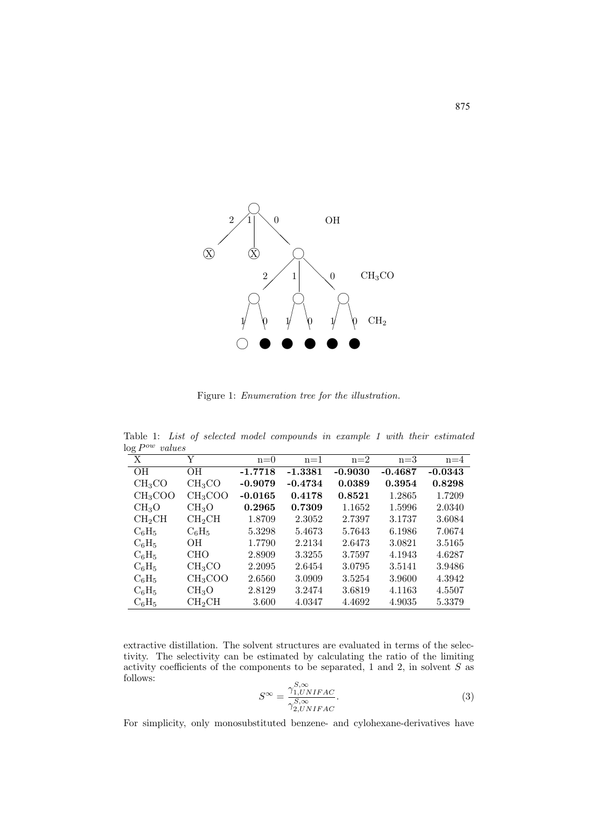

Figure 1: Enumeration tree for the illustration.

Table 1: List of selected model compounds in example 1 with their estimated  $log P^{ow}$  values

| 50 T<br>$\mathbf{X}$ | Y                   | $n=0$     | $n=1$     | $n=2$     | $n=3$     | $n=4$     |
|----------------------|---------------------|-----------|-----------|-----------|-----------|-----------|
| <b>OH</b>            | OН                  | $-1.7718$ | $-1.3381$ | $-0.9030$ | $-0.4687$ | $-0.0343$ |
| CH <sub>3</sub> CO   | CH <sub>3</sub> CO  | $-0.9079$ | $-0.4734$ | 0.0389    | 0.3954    | 0.8298    |
| CH <sub>3</sub> COO  | CH <sub>3</sub> COO | $-0.0165$ | 0.4178    | 0.8521    | 1.2865    | 1.7209    |
| CH <sub>3</sub> O    | CH <sub>3</sub> O   | 0.2965    | 0.7309    | 1.1652    | 1.5996    | 2.0340    |
| CH <sub>2</sub> CH   | CH <sub>2</sub> CH  | 1.8709    | 2.3052    | 2.7397    | 3.1737    | 3.6084    |
| $C_6H_5$             | $C_6H_5$            | 5.3298    | 5.4673    | 5.7643    | 6.1986    | 7.0674    |
| $C_6H_5$             | OН                  | 1.7790    | 2.2134    | 2.6473    | 3.0821    | 3.5165    |
| $C_6H_5$             | <b>CHO</b>          | 2.8909    | 3.3255    | 3.7597    | 4.1943    | 4.6287    |
| $C_6H_5$             | CH <sub>3</sub> CO  | 2.2095    | 2.6454    | 3.0795    | 3.5141    | 3.9486    |
| $C_6H_5$             | CH <sub>3</sub> COO | 2.6560    | 3.0909    | 3.5254    | 3.9600    | 4.3942    |
| $C_6H_5$             | CH <sub>3</sub> O   | 2.8129    | 3.2474    | 3.6819    | 4.1163    | 4.5507    |
| $C_6H_5$             | CH <sub>2</sub> CH  | 3.600     | 4.0347    | 4.4692    | 4.9035    | 5.3379    |

extractive distillation. The solvent structures are evaluated in terms of the selectivity. The selectivity can be estimated by calculating the ratio of the limiting activity coefficients of the components to be separated, 1 and 2, in solvent  $S$  as follows:  $\mathbf{S}$ 

$$
S^{\infty} = \frac{\gamma_{1, WNIFAC}^{5, \infty}}{\gamma_{2, UNIFAC}^{5, \infty}}.
$$
 (3)

For simplicity, only monosubstituted benzene- and cylohexane-derivatives have